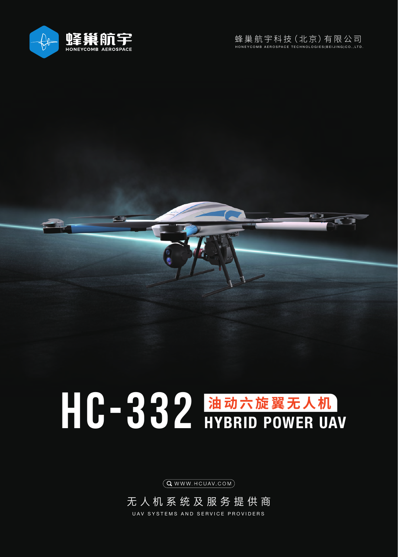



## HC-332 油动六旋翼无人机

 $(Q$  WWW. HCUAV.COM $)$ 

无人机系统及服务提供商 UAV SYSTEMS AND SERVICE PROVIDERS